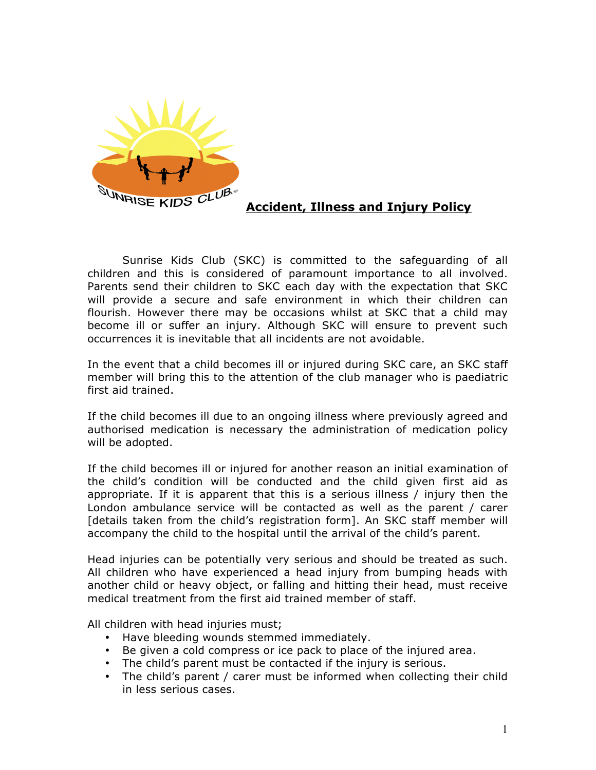

## **Accident, Illness and Injury Policy**

Sunrise Kids Club (SKC) is committed to the safeguarding of all children and this is considered of paramount importance to all involved. Parents send their children to SKC each day with the expectation that SKC will provide a secure and safe environment in which their children can flourish. However there may be occasions whilst at SKC that a child may become ill or suffer an injury. Although SKC will ensure to prevent such occurrences it is inevitable that all incidents are not avoidable.

In the event that a child becomes ill or injured during SKC care, an SKC staff member will bring this to the attention of the club manager who is paediatric first aid trained.

If the child becomes ill due to an ongoing illness where previously agreed and authorised medication is necessary the administration of medication policy will be adopted.

If the child becomes ill or injured for another reason an initial examination of the child's condition will be conducted and the child given first aid as appropriate. If it is apparent that this is a serious illness / injury then the London ambulance service will be contacted as well as the parent / carer [details taken from the child's registration form]. An SKC staff member will accompany the child to the hospital until the arrival of the child's parent.

Head injuries can be potentially very serious and should be treated as such. All children who have experienced a head injury from bumping heads with another child or heavy object, or falling and hitting their head, must receive medical treatment from the first aid trained member of staff.

All children with head injuries must;

- Have bleeding wounds stemmed immediately.
- Be given a cold compress or ice pack to place of the injured area.
- The child's parent must be contacted if the injury is serious.
- The child's parent / carer must be informed when collecting their child in less serious cases.